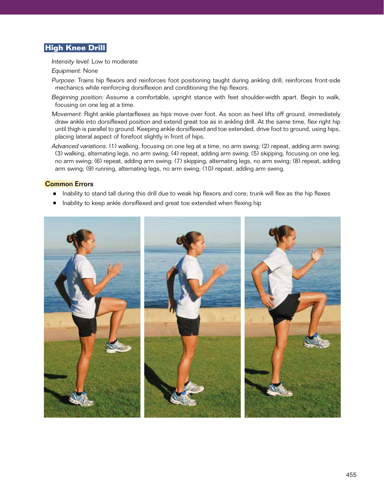## **High Knee Drill**

Intensity level: Low to moderate

Equipment: None

- Purpose: Trains hip flexors and reinforces foot positioning taught during ankling drill; reinforces front-side mechanics while reinforcing dorsiflexion and conditioning the hip flexors.
- Beginning position: Assume a comfortable, upright stance with feet shoulder-width apart. Begin to walk, focusing on one leg at a time.
- Movement: Right ankle plantarflexes as hips move over foot. As soon as heel lifts off ground, immediately draw ankle into dorsiflexed position and extend great toe as in ankling drill. At the same time, flex right hip until thigh is parallel to ground. Keeping ankle dorsiflexed and toe extended, drive foot to ground, using hips, placing lateral aspect of forefoot slightly in front of hips.
- Advanced variations: (1) walking, focusing on one leg at a time, no arm swing; (2) repeat, adding arm swing; (3) walking, alternating legs, no arm swing; (4) repeat, adding arm swing; (5) skipping, focusing on one leg, no arm swing; (6) repeat, adding arm swing; (7) skipping, alternating legs, no arm swing; (8) repeat, adding arm swing; (9) running, alternating legs, no arm swing; (10) repeat, adding arm swing.

## Common Errors

- Inability to stand tall during this drill due to weak hip flexors and core; trunk will flex as the hip flexes
- Inability to keep ankle dorsiflexed and great toe extended when flexing hip